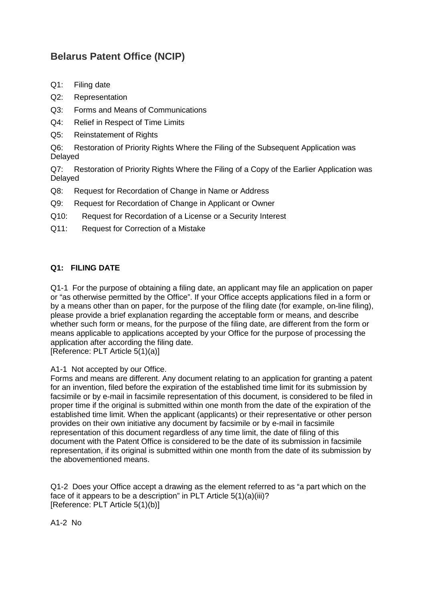# **Belarus Patent Office (NCIP)**

- Q1: [Filing date](#page-0-0)
- Q2: [Representation](#page-1-0)
- Q3: [Forms and Means of Communications](#page-2-0)
- Q4: [Relief in Respect of Time Limits](#page-2-1)
- Q5: [Reinstatement of Rights](#page-3-0)

Q6: [Restoration of Priority Rights Where the Filing of the Subsequent Application was](#page-4-0)  [Delayed](#page-4-0)

Q7: [Restoration of Priority Rights Where the Filing of a Copy of the Earlier Application was](#page-4-1)  [Delayed](#page-4-1)

- Q8: [Request for Recordation of Change in Name or Address](#page-5-0)
- Q9: [Request for Recordation of Change in Applicant or Owner](#page-5-1)
- Q10: [Request for Recordation of a License or a Security Interest](#page-6-0)
- Q11: [Request for Correction of a Mistake](#page-7-0)

# <span id="page-0-0"></span>**Q1: FILING DATE**

Q1-1 For the purpose of obtaining a filing date, an applicant may file an application on paper or "as otherwise permitted by the Office". If your Office accepts applications filed in a form or by a means other than on paper, for the purpose of the filing date (for example, on-line filing), please provide a brief explanation regarding the acceptable form or means, and describe whether such form or means, for the purpose of the filing date, are different from the form or means applicable to applications accepted by your Office for the purpose of processing the application after according the filing date. [Reference: PLT Article 5(1)(a)]

A1-1 Not accepted by our Office.

Forms and means are different. Any document relating to an application for granting a patent for an invention, filed before the expiration of the established time limit for its submission by facsimile or by e-mail in facsimile representation of this document, is considered to be filed in proper time if the original is submitted within one month from the date of the expiration of the established time limit. When the applicant (applicants) or their representative or other person provides on their own initiative any document by facsimile or by e-mail in facsimile representation of this document regardless of any time limit, the date of filing of this document with the Patent Office is considered to be the date of its submission in facsimile representation, if its original is submitted within one month from the date of its submission by the abovementioned means.

Q1-2 Does your Office accept a drawing as the element referred to as "a part which on the face of it appears to be a description" in PLT Article 5(1)(a)(iii)? [Reference: PLT Article 5(1)(b)]

A1-2 No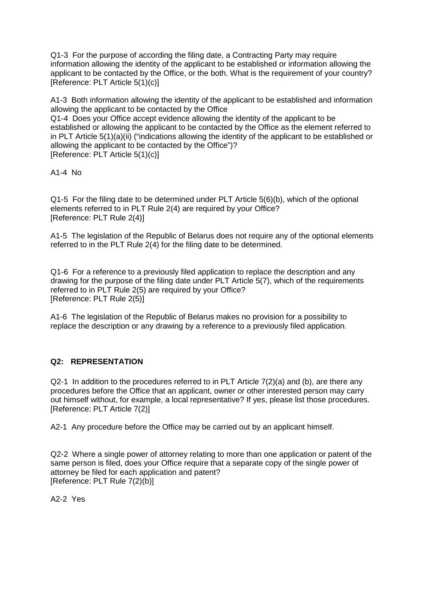Q1-3 For the purpose of according the filing date, a Contracting Party may require information allowing the identity of the applicant to be established or information allowing the applicant to be contacted by the Office, or the both. What is the requirement of your country? [Reference: PLT Article 5(1)(c)]

A1-3 Both information allowing the identity of the applicant to be established and information allowing the applicant to be contacted by the Office

Q1-4 Does your Office accept evidence allowing the identity of the applicant to be established or allowing the applicant to be contacted by the Office as the element referred to in PLT Article 5(1)(a)(ii) ("indications allowing the identity of the applicant to be established or allowing the applicant to be contacted by the Office")? [Reference: PLT Article 5(1)(c)]

A1-4 No

Q1-5 For the filing date to be determined under PLT Article 5(6)(b), which of the optional elements referred to in PLT Rule 2(4) are required by your Office? [Reference: PLT Rule 2(4)]

A1-5 The legislation of the Republic of Belarus does not require any of the optional elements referred to in the PLT Rule 2(4) for the filing date to be determined.

Q1-6 For a reference to a previously filed application to replace the description and any drawing for the purpose of the filing date under PLT Article 5(7), which of the requirements referred to in PLT Rule 2(5) are required by your Office? [Reference: PLT Rule 2(5)]

A1-6 The legislation of the Republic of Belarus makes no provision for a possibility to replace the description or any drawing by a reference to a previously filed application.

#### <span id="page-1-0"></span>**Q2: REPRESENTATION**

Q2-1 In addition to the procedures referred to in PLT Article 7(2)(a) and (b), are there any procedures before the Office that an applicant, owner or other interested person may carry out himself without, for example, a local representative? If yes, please list those procedures. [Reference: PLT Article 7(2)]

A2-1 Any procedure before the Office may be carried out by an applicant himself.

Q2-2 Where a single power of attorney relating to more than one application or patent of the same person is filed, does your Office require that a separate copy of the single power of attorney be filed for each application and patent? [Reference: PLT Rule 7(2)(b)]

A2-2 Yes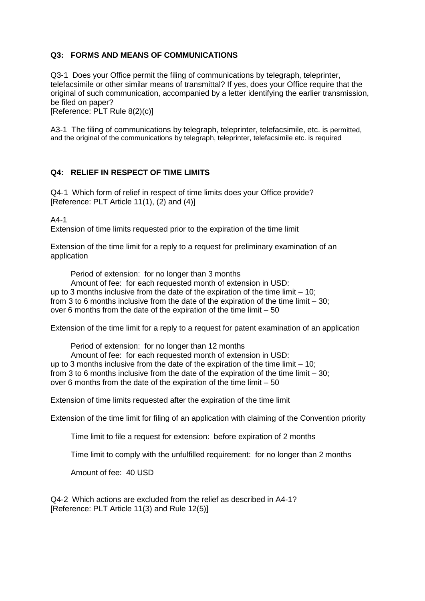### <span id="page-2-0"></span>**Q3: FORMS AND MEANS OF COMMUNICATIONS**

Q3-1 Does your Office permit the filing of communications by telegraph, teleprinter, telefacsimile or other similar means of transmittal? If yes, does your Office require that the original of such communication, accompanied by a letter identifying the earlier transmission, be filed on paper?

[Reference: PLT Rule 8(2)(c)]

A3-1 The filing of communications by telegraph, teleprinter, telefacsimile, etc. is permitted, and the original of the communications by telegraph, teleprinter, telefacsimile etc. is required

#### <span id="page-2-1"></span>**Q4: RELIEF IN RESPECT OF TIME LIMITS**

Q4-1 Which form of relief in respect of time limits does your Office provide? [Reference: PLT Article 11(1), (2) and (4)]

A4-1

Extension of time limits requested prior to the expiration of the time limit

Extension of the time limit for a reply to a request for preliminary examination of an application

Period of extension: for no longer than 3 months

Amount of fee: for each requested month of extension in USD:

up to 3 months inclusive from the date of the expiration of the time limit – 10; from 3 to 6 months inclusive from the date of the expiration of the time limit – 30; over 6 months from the date of the expiration of the time limit – 50

Extension of the time limit for a reply to a request for patent examination of an application

Period of extension: for no longer than 12 months Amount of fee: for each requested month of extension in USD: up to 3 months inclusive from the date of the expiration of the time limit – 10; from 3 to 6 months inclusive from the date of the expiration of the time limit – 30; over 6 months from the date of the expiration of the time limit – 50

Extension of time limits requested after the expiration of the time limit

Extension of the time limit for filing of an application with claiming of the Convention priority

Time limit to file a request for extension: before expiration of 2 months

Time limit to comply with the unfulfilled requirement: for no longer than 2 months

Amount of fee: 40 USD

Q4-2 Which actions are excluded from the relief as described in A4-1? [Reference: PLT Article 11(3) and Rule 12(5)]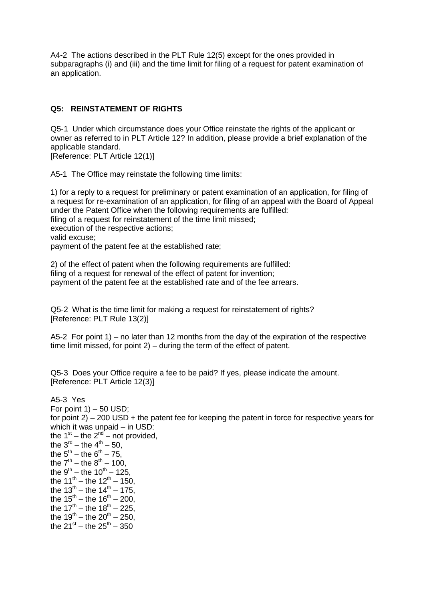A4-2 The actions described in the PLT Rule 12(5) except for the ones provided in subparagraphs (i) and (iii) and the time limit for filing of a request for patent examination of an application.

## <span id="page-3-0"></span>**Q5: REINSTATEMENT OF RIGHTS**

Q5-1 Under which circumstance does your Office reinstate the rights of the applicant or owner as referred to in PLT Article 12? In addition, please provide a brief explanation of the applicable standard.

[Reference: PLT Article 12(1)]

A5-1 The Office may reinstate the following time limits:

1) for a reply to a request for preliminary or patent examination of an application, for filing of a request for re-examination of an application, for filing of an appeal with the Board of Appeal under the Patent Office when the following requirements are fulfilled: filing of a request for reinstatement of the time limit missed; execution of the respective actions; valid excuse; payment of the patent fee at the established rate;

2) of the effect of patent when the following requirements are fulfilled: filing of a request for renewal of the effect of patent for invention; payment of the patent fee at the established rate and of the fee arrears.

Q5-2 What is the time limit for making a request for reinstatement of rights? [Reference: PLT Rule 13(2)]

A5-2 For point 1) – no later than 12 months from the day of the expiration of the respective time limit missed, for point 2) – during the term of the effect of patent.

Q5-3 Does your Office require a fee to be paid? If yes, please indicate the amount. [Reference: PLT Article 12(3)]

A5-3 Yes For point  $1$ ) – 50 USD; for point 2) – 200 USD + the patent fee for keeping the patent in force for respective years for which it was unpaid – in USD: the  $1<sup>st</sup> -$  the  $2<sup>nd</sup> -$  not provided, the  $3^{rd}$  – the  $4^{th}$  – 50, the  $5^{th}$  – the  $6^{th}$  – 75, the  $7^{th}$  – the  $8^{th}$  – 100, the  $9^{th}$  – the  $10^{th}$  – 125, the  $11^{th}$  – the  $12^{th}$  – 150, the  $13^{th}$  – the  $14^{th}$  – 175, the  $15^{th} -$  the  $16^{th} - 200$ , the  $17^{th}$  – the  $18^{th}$  – 225, the  $19^{th} - the 20^{th} - 250$ , the  $21^{st}$  – the  $25^{th}$  – 350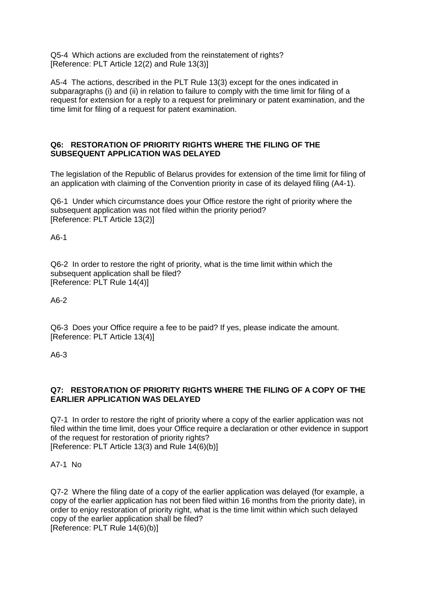Q5-4 Which actions are excluded from the reinstatement of rights? [Reference: PLT Article 12(2) and Rule 13(3)]

A5-4 The actions, described in the PLT Rule 13(3) except for the ones indicated in subparagraphs (i) and (ii) in relation to failure to comply with the time limit for filing of a request for extension for a reply to a request for preliminary or patent examination, and the time limit for filing of a request for patent examination.

#### <span id="page-4-0"></span>**Q6: RESTORATION OF PRIORITY RIGHTS WHERE THE FILING OF THE SUBSEQUENT APPLICATION WAS DELAYED**

The legislation of the Republic of Belarus provides for extension of the time limit for filing of an application with claiming of the Convention priority in case of its delayed filing (A4-1).

Q6-1 Under which circumstance does your Office restore the right of priority where the subsequent application was not filed within the priority period? [Reference: PLT Article 13(2)]

A6-1

Q6-2 In order to restore the right of priority, what is the time limit within which the subsequent application shall be filed? [Reference: PLT Rule 14(4)]

A6-2

Q6-3 Does your Office require a fee to be paid? If yes, please indicate the amount. [Reference: PLT Article 13(4)]

A6-3

## <span id="page-4-1"></span>**Q7: RESTORATION OF PRIORITY RIGHTS WHERE THE FILING OF A COPY OF THE EARLIER APPLICATION WAS DELAYED**

Q7-1 In order to restore the right of priority where a copy of the earlier application was not filed within the time limit, does your Office require a declaration or other evidence in support of the request for restoration of priority rights? [Reference: PLT Article 13(3) and Rule 14(6)(b)]

A7-1 No

Q7-2 Where the filing date of a copy of the earlier application was delayed (for example, a copy of the earlier application has not been filed within 16 months from the priority date), in order to enjoy restoration of priority right, what is the time limit within which such delayed copy of the earlier application shall be filed? [Reference: PLT Rule 14(6)(b)]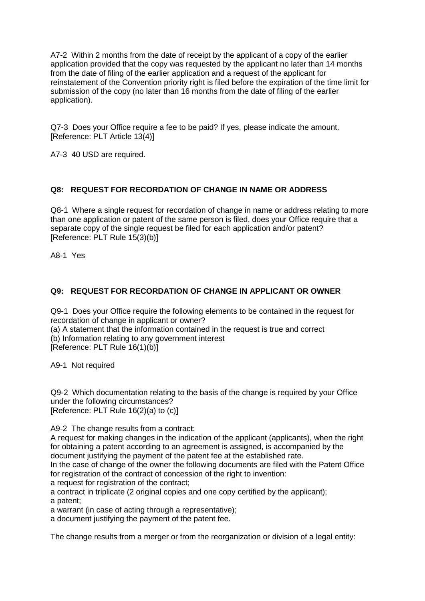A7-2 Within 2 months from the date of receipt by the applicant of a copy of the earlier application provided that the copy was requested by the applicant no later than 14 months from the date of filing of the earlier application and a request of the applicant for reinstatement of the Convention priority right is filed before the expiration of the time limit for submission of the copy (no later than 16 months from the date of filing of the earlier application).

Q7-3 Does your Office require a fee to be paid? If yes, please indicate the amount. [Reference: PLT Article 13(4)]

A7-3 40 USD are required.

# <span id="page-5-0"></span>**Q8: REQUEST FOR RECORDATION OF CHANGE IN NAME OR ADDRESS**

Q8-1 Where a single request for recordation of change in name or address relating to more than one application or patent of the same person is filed, does your Office require that a separate copy of the single request be filed for each application and/or patent? [Reference: PLT Rule 15(3)(b)]

A8-1 Yes

# <span id="page-5-1"></span>**Q9: REQUEST FOR RECORDATION OF CHANGE IN APPLICANT OR OWNER**

Q9-1 Does your Office require the following elements to be contained in the request for recordation of change in applicant or owner?

(a) A statement that the information contained in the request is true and correct (b) Information relating to any government interest [Reference: PLT Rule 16(1)(b)]

A9-1 Not required

Q9-2 Which documentation relating to the basis of the change is required by your Office under the following circumstances? [Reference: PLT Rule 16(2)(a) to (c)]

A9-2 The change results from a contract:

A request for making changes in the indication of the applicant (applicants), when the right for obtaining a patent according to an agreement is assigned, is accompanied by the document justifying the payment of the patent fee at the established rate.

In the case of change of the owner the following documents are filed with the Patent Office for registration of the contract of concession of the right to invention:

a request for registration of the contract;

a contract in triplicate (2 original copies and one copy certified by the applicant); a patent;

a warrant (in case of acting through a representative);

a document justifying the payment of the patent fee.

The change results from a merger or from the reorganization or division of a legal entity: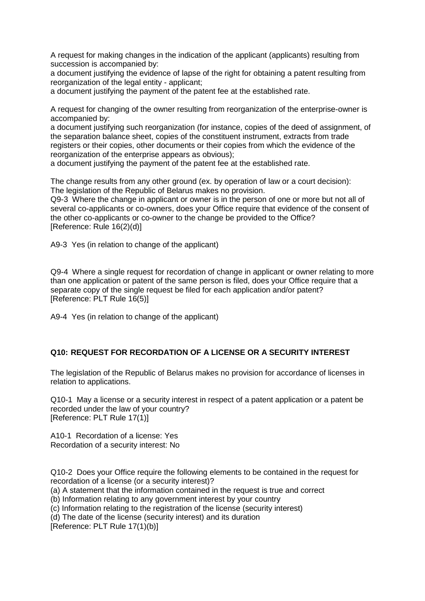A request for making changes in the indication of the applicant (applicants) resulting from succession is accompanied by:

a document justifying the evidence of lapse of the right for obtaining a patent resulting from reorganization of the legal entity - applicant;

a document justifying the payment of the patent fee at the established rate.

A request for changing of the owner resulting from reorganization of the enterprise-owner is accompanied by:

a document justifying such reorganization (for instance, copies of the deed of assignment, of the separation balance sheet, copies of the constituent instrument, extracts from trade registers or their copies, other documents or their copies from which the evidence of the reorganization of the enterprise appears as obvious);

a document justifying the payment of the patent fee at the established rate.

The change results from any other ground (ex. by operation of law or a court decision): The legislation of the Republic of Belarus makes no provision.

Q9-3 Where the change in applicant or owner is in the person of one or more but not all of several co-applicants or co-owners, does your Office require that evidence of the consent of the other co-applicants or co-owner to the change be provided to the Office? [Reference: Rule 16(2)(d)]

A9-3 Yes (in relation to change of the applicant)

Q9-4 Where a single request for recordation of change in applicant or owner relating to more than one application or patent of the same person is filed, does your Office require that a separate copy of the single request be filed for each application and/or patent? [Reference: PLT Rule 16(5)]

A9-4 Yes (in relation to change of the applicant)

#### <span id="page-6-0"></span>**Q10: REQUEST FOR RECORDATION OF A LICENSE OR A SECURITY INTEREST**

The legislation of the Republic of Belarus makes no provision for accordance of licenses in relation to applications.

Q10-1 May a license or a security interest in respect of a patent application or a patent be recorded under the law of your country? [Reference: PLT Rule 17(1)]

A10-1 Recordation of a license: Yes Recordation of a security interest: No

Q10-2 Does your Office require the following elements to be contained in the request for recordation of a license (or a security interest)?

(a) A statement that the information contained in the request is true and correct

(b) Information relating to any government interest by your country

(c) Information relating to the registration of the license (security interest)

(d) The date of the license (security interest) and its duration

[Reference: PLT Rule 17(1)(b)]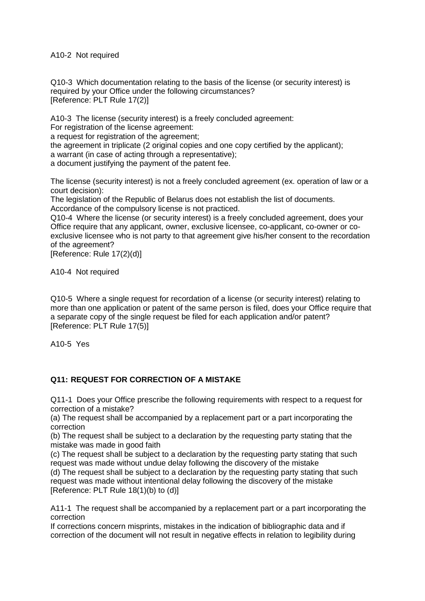A10-2 Not required

Q10-3 Which documentation relating to the basis of the license (or security interest) is required by your Office under the following circumstances? [Reference: PLT Rule 17(2)]

A10-3 The license (security interest) is a freely concluded agreement:

For registration of the license agreement:

a request for registration of the agreement;

the agreement in triplicate (2 original copies and one copy certified by the applicant);

a warrant (in case of acting through a representative);

a document justifying the payment of the patent fee.

The license (security interest) is not a freely concluded agreement (ex. operation of law or a court decision):

The legislation of the Republic of Belarus does not establish the list of documents. Accordance of the compulsory license is not practiced.

Q10-4 Where the license (or security interest) is a freely concluded agreement, does your Office require that any applicant, owner, exclusive licensee, co-applicant, co-owner or coexclusive licensee who is not party to that agreement give his/her consent to the recordation of the agreement?

[Reference: Rule 17(2)(d)]

A10-4 Not required

Q10-5 Where a single request for recordation of a license (or security interest) relating to more than one application or patent of the same person is filed, does your Office require that a separate copy of the single request be filed for each application and/or patent? [Reference: PLT Rule 17(5)]

A10-5 Yes

# <span id="page-7-0"></span>**Q11: REQUEST FOR CORRECTION OF A MISTAKE**

Q11-1 Does your Office prescribe the following requirements with respect to a request for correction of a mistake?

(a) The request shall be accompanied by a replacement part or a part incorporating the correction

(b) The request shall be subject to a declaration by the requesting party stating that the mistake was made in good faith

(c) The request shall be subject to a declaration by the requesting party stating that such request was made without undue delay following the discovery of the mistake

(d) The request shall be subject to a declaration by the requesting party stating that such request was made without intentional delay following the discovery of the mistake [Reference: PLT Rule 18(1)(b) to (d)]

A11-1 The request shall be accompanied by a replacement part or a part incorporating the correction

If corrections concern misprints, mistakes in the indication of bibliographic data and if correction of the document will not result in negative effects in relation to legibility during